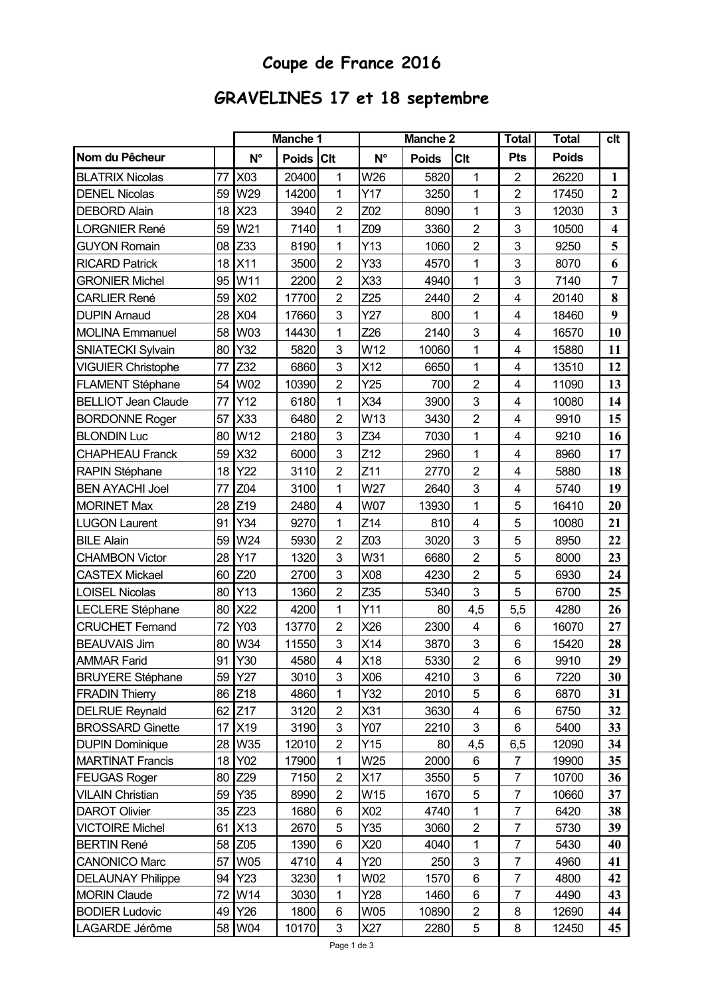# **Coupe de France 2016**

## **GRAVELINES 17 et 18 septembre**

|                            |    | <b>Manche 1</b> |           |                | <b>Manche 2</b> |              |                          | <b>Total</b><br><b>Total</b> |              | clt                     |
|----------------------------|----|-----------------|-----------|----------------|-----------------|--------------|--------------------------|------------------------------|--------------|-------------------------|
| Nom du Pêcheur             |    | $N^{\circ}$     | Poids Clt |                | $N^{\circ}$     | <b>Poids</b> | <b>Clt</b>               | <b>Pts</b>                   | <b>Poids</b> |                         |
| <b>BLATRIX Nicolas</b>     | 77 | X03             | 20400     | 1              | W26             | 5820         | 1                        | $\overline{2}$               | 26220        | $\mathbf{1}$            |
| <b>DENEL Nicolas</b>       | 59 | W29             | 14200     | 1              | Y17             | 3250         | 1                        | $\overline{2}$               | 17450        | $\mathbf{2}$            |
| <b>DEBORD Alain</b>        | 18 | X23             | 3940      | $\overline{2}$ | Z02             | 8090         | 1                        | 3                            | 12030        | $\mathbf{3}$            |
| <b>LORGNIER René</b>       | 59 | W21             | 7140      | 1              | Z09             | 3360         | $\overline{2}$           | 3                            | 10500        | $\overline{\mathbf{4}}$ |
| <b>GUYON Romain</b>        | 08 | Z33             | 8190      | 1              | Y13             | 1060         | $\overline{2}$           | 3                            | 9250         | 5                       |
| <b>RICARD Patrick</b>      | 18 | X11             | 3500      | $\overline{2}$ | Y33             | 4570         | 1                        | 3                            | 8070         | 6                       |
| <b>GRONIER Michel</b>      | 95 | W11             | 2200      | $\overline{2}$ | X33             | 4940         | 1                        | 3                            | 7140         | 7                       |
| <b>CARLIER René</b>        | 59 | X02             | 17700     | $\overline{2}$ | Z25             | 2440         | $\overline{2}$           | 4                            | 20140        | 8                       |
| <b>DUPIN Arnaud</b>        | 28 | X04             | 17660     | 3              | Y27             | 800          | 1                        | 4                            | 18460        | 9                       |
| <b>MOLINA Emmanuel</b>     | 58 | W03             | 14430     | $\mathbf{1}$   | Z <sub>26</sub> | 2140         | 3                        | 4                            | 16570        | 10                      |
| <b>SNIATECKI Sylvain</b>   | 80 | Y32             | 5820      | 3              | W12             | 10060        | 1                        | 4                            | 15880        | 11                      |
| <b>VIGUIER Christophe</b>  | 77 | Z32             | 6860      | 3              | X12             | 6650         | 1                        | 4                            | 13510        | 12                      |
| <b>FLAMENT Stéphane</b>    | 54 | W02             | 10390     | $\overline{2}$ | Y25             | 700          | $\overline{2}$           | 4                            | 11090        | 13                      |
| <b>BELLIOT Jean Claude</b> | 77 | Y12             | 6180      | $\mathbf{1}$   | X34             | 3900         | $\mathbf{3}$             | 4                            | 10080        | 14                      |
| <b>BORDONNE Roger</b>      | 57 | X33             | 6480      | $\overline{2}$ | W13             | 3430         | $\overline{2}$           | 4                            | 9910         | 15                      |
| <b>BLONDIN Luc</b>         | 80 | W12             | 2180      | 3              | Z34             | 7030         | 1                        | 4                            | 9210         | 16                      |
| <b>CHAPHEAU Franck</b>     | 59 | X32             | 6000      | 3              | Z <sub>12</sub> | 2960         | 1                        | 4                            | 8960         | 17                      |
| <b>RAPIN Stéphane</b>      | 18 | Y22             | 3110      | $\overline{2}$ | Z11             | 2770         | $\overline{2}$           | $\overline{\mathbf{4}}$      | 5880         | 18                      |
| <b>BEN AYACHI Joel</b>     | 77 | Z04             | 3100      | 1              | W27             | 2640         | $\mathbf{3}$             | 4                            | 5740         | 19                      |
| <b>MORINET Max</b>         | 28 | Z <sub>19</sub> | 2480      | 4              | W07             | 13930        | 1                        | 5                            | 16410        | 20                      |
| <b>LUGON Laurent</b>       | 91 | Y34             | 9270      | 1              | Z14             | 810          | $\overline{4}$           | 5                            | 10080        | 21                      |
| <b>BILE Alain</b>          | 59 | W24             | 5930      | $\overline{2}$ | Z03             | 3020         | 3                        | 5                            | 8950         | 22                      |
| <b>CHAMBON Victor</b>      | 28 | Y17             | 1320      | 3              | W31             | 6680         | $\overline{2}$           | 5                            | 8000         | 23                      |
| <b>CASTEX Mickael</b>      | 60 | Z20             | 2700      | 3              | X08             | 4230         | $\overline{2}$           | 5                            | 6930         | 24                      |
| <b>LOISEL Nicolas</b>      | 80 | Y13             | 1360      | $\overline{2}$ | Z35             | 5340         | 3                        | 5                            | 6700         | 25                      |
| LECLERE Stéphane           | 80 | X22             | 4200      | $\mathbf{1}$   | Y11             | 80           | 4,5                      | 5,5                          | 4280         | 26                      |
| <b>CRUCHET Fernand</b>     | 72 | Y03             | 13770     | $\overline{2}$ | X26             | 2300         | $\overline{\mathbf{4}}$  | 6                            | 16070        | 27                      |
| <b>BEAUVAIS Jim</b>        | 80 | W34             | 11550     | 3              | X14             | 3870         | 3                        | 6                            | 15420        | 28                      |
| <b>AMMAR Farid</b>         |    | 91 Y30          | 4580      | 4              | X18             | 5330         | $\overline{c}$           | 6                            | 9910         | 29                      |
| <b>BRUYERE Stéphane</b>    | 59 | Y27             | 3010      | 3              | X06             | 4210         | 3                        | 6                            | 7220         | 30                      |
| <b>FRADIN Thierry</b>      | 86 | Z18             | 4860      | $\mathbf{1}$   | Y32             | 2010         | 5                        | 6                            | 6870         | 31                      |
| <b>DELRUE Reynald</b>      | 62 | Z17             | 3120      | $\overline{c}$ | X31             | 3630         | $\overline{\mathcal{A}}$ | 6                            | 6750         | 32                      |
| <b>BROSSARD Ginette</b>    | 17 | X19             | 3190      | 3              | Y07             | 2210         | $\mathfrak{S}$           | 6                            | 5400         | 33                      |
| <b>DUPIN Dominique</b>     | 28 | W35             | 12010     | $\overline{2}$ | Y15             | 80           | 4,5                      | 6,5                          | 12090        | 34                      |
| <b>MARTINAT Francis</b>    | 18 | Y02             | 17900     | 1              | W25             | 2000         | 6                        | 7                            | 19900        | 35                      |
| <b>FEUGAS Roger</b>        | 80 | Z29             | 7150      | $\overline{2}$ | X17             | 3550         | 5                        | 7                            | 10700        | 36                      |
| <b>VILAIN Christian</b>    | 59 | Y35             | 8990      | $\overline{c}$ | W15             | 1670         | 5                        | 7                            | 10660        | 37                      |
| <b>DAROT Olivier</b>       | 35 | Z <sub>23</sub> | 1680      | 6              | X02             | 4740         | 1                        | $\overline{7}$               | 6420         | 38                      |
| <b>VICTOIRE Michel</b>     | 61 | X13             | 2670      | 5              | Y35             | 3060         | $\overline{2}$           | $\overline{7}$               | 5730         | 39                      |
| <b>BERTIN René</b>         | 58 | Z05             | 1390      | 6              | X20             | 4040         | 1                        | $\overline{7}$               | 5430         | 40                      |
| <b>CANONICO Marc</b>       | 57 | <b>W05</b>      | 4710      | 4              | Y20             | 250          | $\mathfrak{S}$           | 7                            | 4960         | 41                      |
| <b>DELAUNAY Philippe</b>   | 94 | Y23             | 3230      | 1              | W02             | 1570         | 6                        | $\overline{7}$               | 4800         | 42                      |
| <b>MORIN Claude</b>        | 72 | W14             | 3030      | 1              | Y28             | 1460         | 6                        | $\overline{7}$               | 4490         | 43                      |
| <b>BODIER Ludovic</b>      | 49 | Y26             | 1800      | 6              | W05             | 10890        | $\overline{2}$           | 8                            | 12690        | 44                      |
| LAGARDE Jérôme             | 58 | W04             | 10170     | 3              | X27             | 2280         | $\sqrt{5}$               | 8                            | 12450        | 45                      |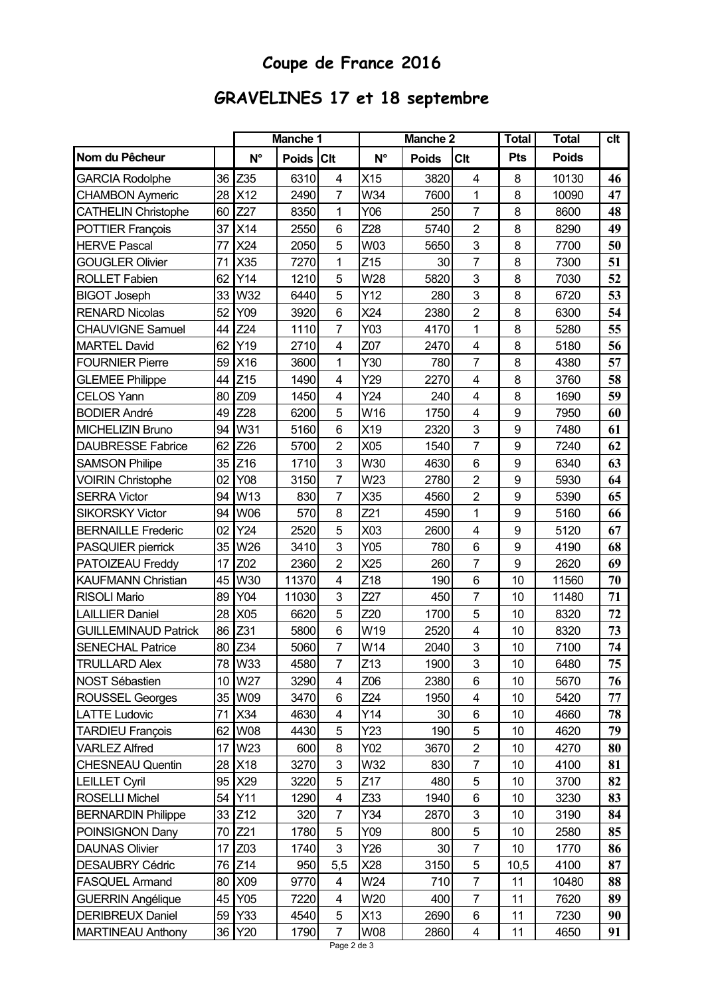# **Coupe de France 2016**

## **GRAVELINES 17 et 18 septembre**

|                             |    |                 | <b>Manche 1</b> |                 | <b>Manche 2</b> |              |                           | <b>Total</b> | <b>Total</b> | clt |
|-----------------------------|----|-----------------|-----------------|-----------------|-----------------|--------------|---------------------------|--------------|--------------|-----|
| Nom du Pêcheur              |    | $N^{\circ}$     | <b>Poids</b>    | <b>Clt</b>      | $N^{\circ}$     | <b>Poids</b> | Clt                       | <b>Pts</b>   | <b>Poids</b> |     |
| <b>GARCIA Rodolphe</b>      | 36 | Z35             | 6310            | $\overline{4}$  | X15             | 3820         | 4                         | 8            | 10130        | 46  |
| <b>CHAMBON Aymeric</b>      | 28 | X12             | 2490            | 7               | W34             | 7600         | 1                         | 8            | 10090        | 47  |
| <b>CATHELIN Christophe</b>  | 60 | Z27             | 8350            | 1               | Y06             | 250          | $\overline{7}$            | 8            | 8600         | 48  |
| <b>POTTIER François</b>     | 37 | X14             | 2550            | 6               | Z28             | 5740         | 2                         | 8            | 8290         | 49  |
| <b>HERVE Pascal</b>         | 77 | X24             | 2050            | 5               | W03             | 5650         | 3                         | 8            | 7700         | 50  |
| <b>GOUGLER Olivier</b>      | 71 | X35             | 7270            | 1               | Z <sub>15</sub> | 30           | 7                         | 8            | 7300         | 51  |
| <b>ROLLET Fabien</b>        | 62 | Y14             | 1210            | 5               | W28             | 5820         | $\ensuremath{\mathsf{3}}$ | 8            | 7030         | 52  |
| <b>BIGOT Joseph</b>         | 33 | W32             | 6440            | 5               | Y12             | 280          | 3                         | 8            | 6720         | 53  |
| <b>RENARD Nicolas</b>       | 52 | Y09             | 3920            | 6               | X24             | 2380         | $\overline{2}$            | 8            | 6300         | 54  |
| <b>CHAUVIGNE Samuel</b>     | 44 | Z24             | 1110            | $\overline{7}$  | Y03             | 4170         | 1                         | 8            | 5280         | 55  |
| <b>MARTEL David</b>         | 62 | Y19             | 2710            | 4               | Z07             | 2470         | 4                         | 8            | 5180         | 56  |
| <b>FOURNIER Pierre</b>      | 59 | X16             | 3600            | $\mathbf{1}$    | Y30             | 780          | $\overline{7}$            | 8            | 4380         | 57  |
| <b>GLEMEE Philippe</b>      | 44 | Z <sub>15</sub> | 1490            | 4               | Y29             | 2270         | 4                         | 8            | 3760         | 58  |
| <b>CELOS Yann</b>           | 80 | Z09             | 1450            | 4               | Y24             | 240          | $\overline{\mathbf{4}}$   | 8            | 1690         | 59  |
| <b>BODIER André</b>         | 49 | Z28             | 6200            | 5               | W16             | 1750         | $\overline{\mathbf{4}}$   | 9            | 7950         | 60  |
| <b>MICHELIZIN Bruno</b>     | 94 | W31             | 5160            | 6               | X19             | 2320         | 3                         | 9            | 7480         | 61  |
| <b>DAUBRESSE Fabrice</b>    | 62 | Z <sub>26</sub> | 5700            | $\overline{2}$  | X05             | 1540         | $\overline{7}$            | 9            | 7240         | 62  |
| <b>SAMSON Philipe</b>       | 35 | Z16             | 1710            | 3               | W30             | 4630         | 6                         | 9            | 6340         | 63  |
| <b>VOIRIN Christophe</b>    | 02 | Y08             | 3150            | $\overline{7}$  | W23             | 2780         | $\overline{2}$            | 9            | 5930         | 64  |
| <b>SERRA Victor</b>         | 94 | W13             | 830             | 7               | X35             | 4560         | $\overline{2}$            | 9            | 5390         | 65  |
| <b>SIKORSKY Victor</b>      | 94 | W06             | 570             | 8               | Z21             | 4590         | 1                         | 9            | 5160         | 66  |
| <b>BERNAILLE Frederic</b>   | 02 | Y24             | 2520            | 5               | X03             | 2600         | 4                         | 9            | 5120         | 67  |
| <b>PASQUIER pierrick</b>    | 35 | W26             | 3410            | 3               | Y05             | 780          | 6                         | 9            | 4190         | 68  |
| PATOIZEAU Freddy            | 17 | Z02             | 2360            | $\overline{2}$  | X25             | 260          | $\overline{7}$            | 9            | 2620         | 69  |
| <b>KAUFMANN Christian</b>   | 45 | W30             | 11370           | 4               | Z18             | 190          | 6                         | 10           | 11560        | 70  |
| <b>RISOLI Mario</b>         | 89 | Y04             | 11030           | 3               | Z27             | 450          | 7                         | 10           | 11480        | 71  |
| <b>LAILLIER Daniel</b>      | 28 | X05             | 6620            | 5               | Z <sub>20</sub> | 1700         | 5                         | 10           | 8320         | 72  |
| <b>GUILLEMINAUD Patrick</b> | 86 | Z31             | 5800            | $6\phantom{1}6$ | W <sub>19</sub> | 2520         | 4                         | 10           | 8320         | 73  |
| <b>SENECHAL Patrice</b>     | 80 | Z34             | 5060            | $\overline{7}$  | W14             | 2040         | 3                         | 10           | 7100         | 74  |
| <b>TRULLARD Alex</b>        |    | 78 W33          | 4580            | $\overline{7}$  | Z13             | 1900         | 3                         | 10           | 6480         | 75  |
| <b>NOST Sébastien</b>       | 10 | W27             | 3290            | 4               | Z06             | 2380         | 6                         | 10           | 5670         | 76  |
| <b>ROUSSEL Georges</b>      | 35 | W09             | 3470            | 6               | Z24             | 1950         | 4                         | 10           | 5420         | 77  |
| <b>LATTE Ludovic</b>        | 71 | X34             | 4630            | 4               | Y14             | 30           | 6                         | 10           | 4660         | 78  |
| <b>TARDIEU François</b>     | 62 | W08             | 4430            | 5               | Y23             | 190          | 5                         | 10           | 4620         | 79  |
| <b>VARLEZ Alfred</b>        | 17 | W23             | 600             | 8               | Y02             | 3670         | $\overline{2}$            | 10           | 4270         | 80  |
| <b>CHESNEAU Quentin</b>     | 28 | X18             | 3270            | 3               | W32             | 830          | $\overline{7}$            | 10           | 4100         | 81  |
| <b>LEILLET Cyril</b>        | 95 | X29             | 3220            | 5               | Z17             | 480          | 5                         | 10           | 3700         | 82  |
| <b>ROSELLI Michel</b>       | 54 | Y11             | 1290            | 4               | Z33             | 1940         | 6                         | 10           | 3230         | 83  |
| <b>BERNARDIN Philippe</b>   | 33 | Z12             | 320             | $\overline{7}$  | Y34             | 2870         | 3                         | 10           | 3190         | 84  |
| POINSIGNON Dany             | 70 | Z21             | 1780            | 5               | Y09             | 800          | 5                         | 10           | 2580         | 85  |
| <b>DAUNAS Olivier</b>       | 17 | Z03             | 1740            | 3               | Y26             | 30           | 7                         | 10           | 1770         | 86  |
| <b>DESAUBRY Cédric</b>      | 76 | Z14             | 950             | 5,5             | X28             | 3150         | 5                         | 10,5         | 4100         | 87  |
| <b>FASQUEL Armand</b>       | 80 | X09             | 9770            | 4               | W24             | 710          | 7                         | 11           | 10480        | 88  |
| <b>GUERRIN Angélique</b>    | 45 | Y05             | 7220            | 4               | W20             | 400          | $\overline{7}$            | 11           | 7620         | 89  |
| <b>DERIBREUX Daniel</b>     | 59 | Y33             | 4540            | 5               | X13             | 2690         | 6                         | 11           | 7230         | 90  |
| <b>MARTINEAU Anthony</b>    | 36 | Y20             | 1790            | 7               | W08             | 2860         | 4                         | 11           | 4650         | 91  |